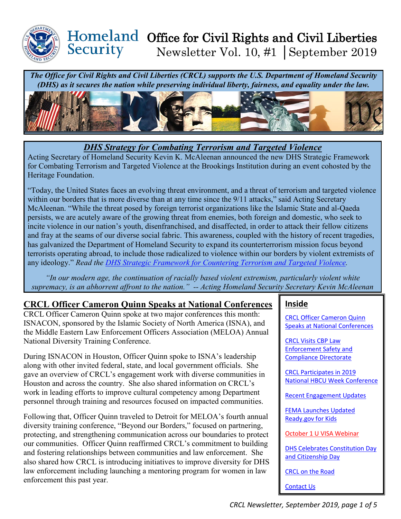

#### Homeland Office for Civil Rights and Civil Liberties Security Newsletter Vol. 10, #1 │September 2019

*The Office for Civil Rights and Civil Liberties (CRCL) supports the U.S. Department of Homeland Security (DHS) as it secures the nation while preserving individual liberty, fairness, and equality under the law.*



*DHS Strategy for Combating Terrorism and Targeted Violence*

Acting Secretary of Homeland Security Kevin K. McAleenan announced the new DHS Strategic Framework for Combating Terrorism and Targeted Violence at the Brookings Institution during an event cohosted by the Heritage Foundation.

"Today, the United States faces an evolving threat environment, and a threat of terrorism and targeted violence within our borders that is more diverse than at any time since the 9/11 attacks," said Acting Secretary McAleenan. "While the threat posed by foreign terrorist organizations like the Islamic State and al-Qaeda persists, we are acutely aware of the growing threat from enemies, both foreign and domestic, who seek to incite violence in our nation's youth, disenfranchised, and disaffected, in order to attack their fellow citizens and fray at the seams of our diverse social fabric. This awareness, coupled with the history of recent tragedies, has galvanized the Department of Homeland Security to expand its counterterrorism mission focus beyond terrorists operating abroad, to include those radicalized to violence within our borders by violent extremists of any ideology." *Read the [DHS Strategic Framework for Countering Terrorism and Targeted Violence.](https://www.dhs.gov/publication/dhs-strategic-framework-countering-terrorism-and-targeted-violence)* 

*"In our modern age, the continuation of racially based violent extremism, particularly violent white supremacy, is an abhorrent affront to the nation." -- Acting Homeland Security Secretary Kevin McAleenan*

## <span id="page-0-0"></span>**CRCL Officer Cameron Quinn Speaks at National Conferences**

CRCL Officer Cameron Quinn spoke at two major conferences this month: ISNACON, sponsored by the Islamic Society of North America (ISNA), and the Middle Eastern Law Enforcement Officers Association (MELOA) Annual National Diversity Training Conference.

During ISNACON in Houston, Officer Quinn spoke to ISNA's leadership along with other invited federal, state, and local government officials. She gave an overview of CRCL's engagement work with diverse communities in Houston and across the country. She also shared information on CRCL's work in leading efforts to improve cultural competency among Department personnel through training and resources focused on impacted communities.

Following that, Officer Quinn traveled to Detroit for MELOA's fourth annual diversity training conference, "Beyond our Borders," focused on partnering, protecting, and strengthening communication across our boundaries to protect our communities. Officer Quinn reaffirmed CRCL's commitment to building and fostering relationships between communities and law enforcement. She also shared how CRCL is introducing initiatives to improve diversity for DHS law enforcement including launching a mentoring program for women in law enforcement this past year.

#### **Inside**

[CRCL Officer Cameron Quinn](#page-0-0)  [Speaks at National Conferences](#page-0-0)

[CRCL Visits CBP Law](#page-1-0)  [Enforcement Safety and](#page-1-0)  [Compliance Directorate](#page-1-0) 

[CRCL Participates in 2019](#page-1-0)  [National HBCU Week Conference](#page-1-0) 

[Recent Engagement Updates](#page-2-0) 

[FEMA Launches Updated](#page-2-1)  [Ready.gov for Kids](#page-2-1) 

[October 1 U VISA Webinar](#page-3-0) 

[DHS Celebrates Constitution Day](#page-3-1)  [and Citizenship Day](#page-3-1) 

[CRCL on the Road](#page-4-0)

[Contact Us](#page-4-0)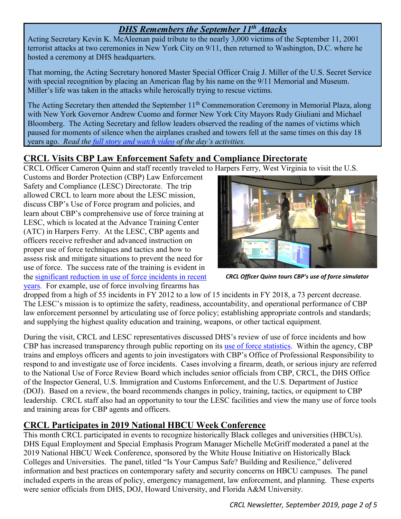# *DHS Remembers the September 11th Attacks*

Acting Secretary Kevin K. McAleenan paid tribute to the nearly 3,000 victims of the September 11, 2001 terrorist attacks at two ceremonies in New York City on 9/11, then returned to Washington, D.C. where he hosted a ceremony at DHS headquarters.

That morning, the Acting Secretary honored Master Special Officer Craig J. Miller of the U.S. Secret Service with special recognition by placing an American flag by his name on the 9/11 Memorial and Museum. Miller's life was taken in the attacks while heroically trying to rescue victims.

The Acting Secretary then attended the September 11<sup>th</sup> Commemoration Ceremony in Memorial Plaza, along with New York Governor Andrew Cuomo and former New York City Mayors Rudy Giuliani and Michael Bloomberg. The Acting Secretary and fellow leaders observed the reading of the names of victims which paused for moments of silence when the airplanes crashed and towers fell at the same times on this day 18 years ago. *Read the [full story and watch video](https://www.dhs.gov/news/2019/09/11/acting-secretary-mcaleenan-commemorated-september-11-attacks-new-york-and-dc) of the day's activities.* 

# <span id="page-1-0"></span>**CRCL Visits CBP Law Enforcement Safety and Compliance Directorate**

CRCL Officer Cameron Quinn and staff recently traveled to Harpers Ferry, West Virginia to visit the U.S.

Customs and Border Protection (CBP) Law Enforcement Safety and Compliance (LESC) Directorate. The trip allowed CRCL to learn more about the LESC mission, discuss CBP's Use of Force program and policies, and learn about CBP's comprehensive use of force training at LESC, which is located at the Advance Training Center (ATC) in Harpers Ferry. At the LESC, CBP agents and officers receive refresher and advanced instruction on proper use of force techniques and tactics and how to assess risk and mitigate situations to prevent the need for use of force. The success rate of the training is evident in the [significant reduction in use of force incidents in recent](https://www.cbp.gov/newsroom/stats/cbp-use-force)  [years.](https://www.cbp.gov/newsroom/stats/cbp-use-force) For example, use of force involving firearms has



*CRCL Officer Quinn tours CBP's use of force simulator*

dropped from a high of 55 incidents in FY 2012 to a low of 15 incidents in FY 2018, a 73 percent decrease. The LESC's mission is to optimize the safety, readiness, accountability, and operational performance of CBP law enforcement personnel by articulating use of force policy; establishing appropriate controls and standards; and supplying the highest quality education and training, weapons, or other tactical equipment.

During the visit, CRCL and LESC representatives discussed DHS's review of use of force incidents and how CBP has increased transparency through public reporting on its [use of force statistics.](https://www.cbp.gov/newsroom/stats/cbp-use-force) Within the agency, CBP trains and employs officers and agents to join investigators with CBP's Office of Professional Responsibility to respond to and investigate use of force incidents. Cases involving a firearm, death, or serious injury are referred to the National Use of Force Review Board which includes senior officials from CBP, CRCL, the DHS Office of the Inspector General, U.S. Immigration and Customs Enforcement, and the U.S. Department of Justice (DOJ). Based on a review, the board recommends changes in policy, training, tactics, or equipment to CBP leadership. CRCL staff also had an opportunity to tour the LESC facilities and view the many use of force tools and training areas for CBP agents and officers.

### **CRCL Participates in 2019 National HBCU Week Conference**

This month CRCL participated in events to recognize historically Black colleges and universities (HBCUs). DHS Equal Employment and Special Emphasis Program Manager Michelle McGriff moderated a panel at the 2019 National HBCU Week Conference, sponsored by the White House Initiative on Historically Black Colleges and Universities. The panel, titled "Is Your Campus Safe? Building and Resilience," delivered information and best practices on contemporary safety and security concerns on HBCU campuses. The panel included experts in the areas of policy, emergency management, law enforcement, and planning. These experts were senior officials from DHS, DOJ, Howard University, and Florida A&M University.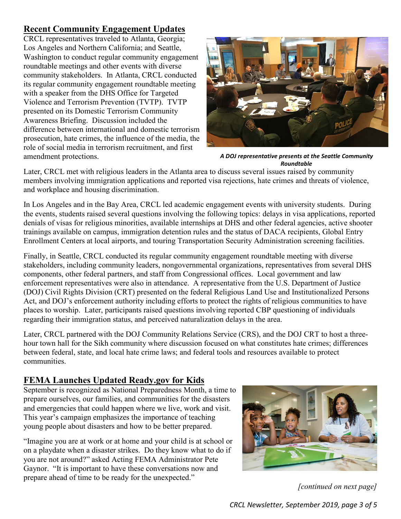## <span id="page-2-0"></span>**Recent Community Engagement Updates**

CRCL representatives traveled to Atlanta, Georgia; Los Angeles and Northern California; and Seattle, Washington to conduct regular community engagement roundtable meetings and other events with diverse community stakeholders. In Atlanta, CRCL conducted its regular community engagement roundtable meeting with a speaker from the DHS Office for Targeted Violence and Terrorism Prevention (TVTP). TVTP presented on its Domestic Terrorism Community Awareness Briefing. Discussion included the difference between international and domestic terrorism prosecution, hate crimes, the influence of the media, the role of social media in terrorism recruitment, and first amendment protections.



*A DOJ representative presents at the Seattle Community Roundtable*

Later, CRCL met with religious leaders in the Atlanta area to discuss several issues raised by community members involving immigration applications and reported visa rejections, hate crimes and threats of violence, and workplace and housing discrimination.

In Los Angeles and in the Bay Area, CRCL led academic engagement events with university students. During the events, students raised several questions involving the following topics: delays in visa applications, reported denials of visas for religious minorities, available internships at DHS and other federal agencies, active shooter trainings available on campus, immigration detention rules and the status of DACA recipients, Global Entry Enrollment Centers at local airports, and touring Transportation Security Administration screening facilities.

Finally, in Seattle, CRCL conducted its regular community engagement roundtable meeting with diverse stakeholders, including community leaders, nongovernmental organizations, representatives from several DHS components, other federal partners, and staff from Congressional offices. Local government and law enforcement representatives were also in attendance. A representative from the U.S. Department of Justice (DOJ) Civil Rights Division (CRT) presented on the federal Religious Land Use and Institutionalized Persons Act, and DOJ's enforcement authority including efforts to protect the rights of religious communities to have places to worship. Later, participants raised questions involving reported CBP questioning of individuals regarding their immigration status, and perceived naturalization delays in the area.

Later, CRCL partnered with the DOJ Community Relations Service (CRS), and the DOJ CRT to host a threehour town hall for the Sikh community where discussion focused on what constitutes hate crimes; differences between federal, state, and local hate crime laws; and federal tools and resources available to protect communities.

## <span id="page-2-1"></span>**FEMA Launches Updated Ready.gov for Kids**

September is recognized as National Preparedness Month, a time to prepare ourselves, our families, and communities for the disasters and emergencies that could happen where we live, work and visit. This year's campaign emphasizes the importance of teaching young people about disasters and how to be better prepared.

"Imagine you are at work or at home and your child is at school or on a playdate when a disaster strikes. Do they know what to do if you are not around?" asked Acting FEMA Administrator Pete Gaynor. "It is important to have these conversations now and prepare ahead of time to be ready for the unexpected."



*[continued on next page]*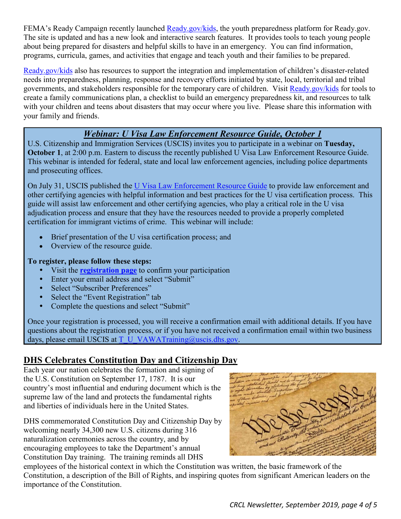FEMA's Ready Campaign recently launched [Ready.gov/kids,](https://www.ready.gov/kids) the youth preparedness platform for Ready.gov. The site is updated and has a new look and interactive search features. It provides tools to teach young people about being prepared for disasters and helpful skills to have in an emergency. You can find information, programs, curricula, games, and activities that engage and teach youth and their families to be prepared.

[Ready.gov/kids](https://www.ready.gov/kids) also has resources to support the integration and implementation of children's disaster-related needs into preparedness, planning, response and recovery efforts initiated by state, local, territorial and tribal governments, and stakeholders responsible for the temporary care of children. Visit [Ready.gov/kids](https://www.ready.gov/kids) for tools to create a family communications plan, a checklist to build an emergency preparedness kit, and resources to talk with your children and teens about disasters that may occur where you live. Please share this information with your family and friends.

### *Webinar: U Visa Law Enforcement Resource Guide, October 1*

<span id="page-3-0"></span>U.S. Citizenship and Immigration Services (USCIS) invites you to participate in a webinar on **Tuesday, October 1**, at 2:00 p.m. Eastern to discuss the recently published U Visa Law Enforcement Resource Guide. This webinar is intended for federal, state and local law enforcement agencies, including police departments and prosecuting offices.

On July 31, USCIS published the [U Visa Law Enforcement Resource Guide](https://www.uscis.gov/sites/default/files/USCIS/Humanitarian/U_Visa_Law_Enforcement_Resource_Guide.pdf) to provide law enforcement and other certifying agencies with helpful information and best practices for the U visa certification process. This guide will assist law enforcement and other certifying agencies, who play a critical role in the U visa adjudication process and ensure that they have the resources needed to provide a properly completed certification for immigrant victims of crime. This webinar will include:

- Brief presentation of the U visa certification process; and
- Overview of the resource guide.

#### **To register, please follow these steps:**

- Visit the **[registration page](https://public.govdelivery.com/accounts/USDHSCISINVITE/subscriber/new?topic_id=USDHSCISINVITE_374)** to confirm your participation
- Enter your email address and select "Submit"
- Select "Subscriber Preferences"
- Select the "Event Registration" tab
- Complete the questions and select "Submit"

Once your registration is processed, you will receive a confirmation email with additional details. If you have questions about the registration process, or if you have not received a confirmation email within two business days, please email USCIS at [T\\_U\\_VAWATraining@uscis.dhs.gov.](mailto:T_U_VAWATraining@uscis.dhs.gov)

### <span id="page-3-1"></span>**DHS Celebrates Constitution Day and Citizenship Day**

Each year our nation celebrates the formation and signing of the U.S. Constitution on September 17, 1787. It is our country's most influential and enduring document which is the supreme law of the land and protects the fundamental rights and liberties of individuals here in the United States.

DHS commemorated Constitution Day and Citizenship Day by welcoming nearly 34,300 new U.S. citizens during 316 naturalization ceremonies across the country, and by encouraging employees to take the Department's annual Constitution Day training. The training reminds all DHS



employees of the historical context in which the Constitution was written, the basic framework of the Constitution, a description of the Bill of Rights, and inspiring quotes from significant American leaders on the importance of the Constitution.